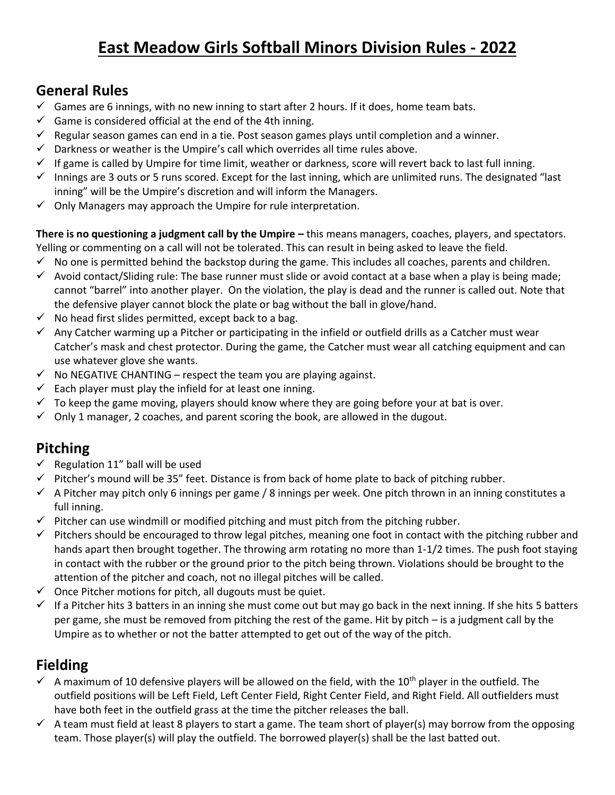# **East Meadow Girls Softball Minors Division Rules - 2022**

# **General Rules**

- $\checkmark$  Games are 6 innings, with no new inning to start after 2 hours. If it does, home team bats.
- $\checkmark$  Game is considered official at the end of the 4th inning.
- $\checkmark$  Regular season games can end in a tie. Post season games plays until completion and a winner.
- $\checkmark$  Darkness or weather is the Umpire's call which overrides all time rules above.
- $\checkmark$  If game is called by Umpire for time limit, weather or darkness, score will revert back to last full inning.
- $\checkmark$  Innings are 3 outs or 5 runs scored. Except for the last inning, which are unlimited runs. The designated "last inning" will be the Umpire's discretion and will inform the Managers.
- $\checkmark$  Only Managers may approach the Umpire for rule interpretation.

**There is no questioning a judgment call by the Umpire –** this means managers, coaches, players, and spectators. Yelling or commenting on a call will not be tolerated. This can result in being asked to leave the field.

- $\checkmark$  No one is permitted behind the backstop during the game. This includes all coaches, parents and children.
- $\checkmark$  Avoid contact/Sliding rule: The base runner must slide or avoid contact at a base when a play is being made; cannot "barrel" into another player. On the violation, the play is dead and the runner is called out. Note that the defensive player cannot block the plate or bag without the ball in glove/hand.
- $\checkmark$  No head first slides permitted, except back to a bag.
- $\checkmark$  Any Catcher warming up a Pitcher or participating in the infield or outfield drills as a Catcher must wear Catcher's mask and chest protector. During the game, the Catcher must wear all catching equipment and can use whatever glove she wants.
- $\checkmark$  No NEGATIVE CHANTING respect the team you are playing against.
- $\checkmark$  Each player must play the infield for at least one inning.
- $\checkmark$  To keep the game moving, players should know where they are going before your at bat is over.
- $\checkmark$  Only 1 manager, 2 coaches, and parent scoring the book, are allowed in the dugout.

# **Pitching**

- $\checkmark$  Regulation 11" ball will be used
- $\checkmark$  Pitcher's mound will be 35" feet. Distance is from back of home plate to back of pitching rubber.
- $\checkmark$  A Pitcher may pitch only 6 innings per game / 8 innings per week. One pitch thrown in an inning constitutes a full inning.
- $\checkmark$  Pitcher can use windmill or modified pitching and must pitch from the pitching rubber.
- $\checkmark$  Pitchers should be encouraged to throw legal pitches, meaning one foot in contact with the pitching rubber and hands apart then brought together. The throwing arm rotating no more than 1-1/2 times. The push foot staying in contact with the rubber or the ground prior to the pitch being thrown. Violations should be brought to the attention of the pitcher and coach, not no illegal pitches will be called.
- $\checkmark$  Once Pitcher motions for pitch, all dugouts must be quiet.
- $\checkmark$  If a Pitcher hits 3 batters in an inning she must come out but may go back in the next inning. If she hits 5 batters per game, she must be removed from pitching the rest of the game. Hit by pitch – is a judgment call by the Umpire as to whether or not the batter attempted to get out of the way of the pitch.

# **Fielding**

- $\checkmark$  A maximum of 10 defensive players will be allowed on the field, with the 10<sup>th</sup> player in the outfield. The outfield positions will be Left Field, Left Center Field, Right Center Field, and Right Field. All outfielders must have both feet in the outfield grass at the time the pitcher releases the ball.
- $\checkmark$  A team must field at least 8 players to start a game. The team short of player(s) may borrow from the opposing team. Those player(s) will play the outfield. The borrowed player(s) shall be the last batted out.